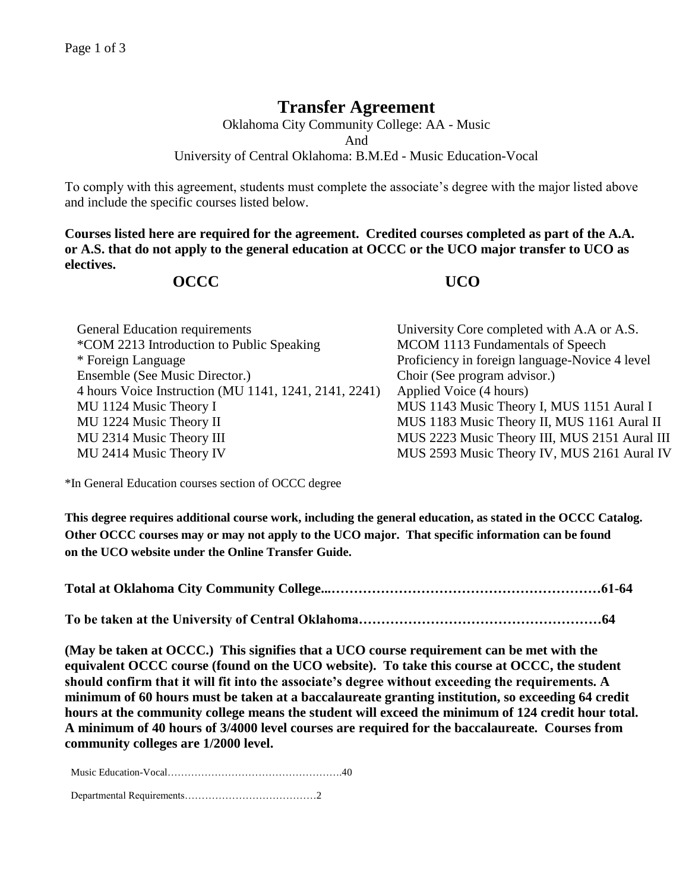## **Transfer Agreement**

Oklahoma City Community College: AA - Music And University of Central Oklahoma: B.M.Ed - Music Education-Vocal

To comply with this agreement, students must complete the associate's degree with the major listed above and include the specific courses listed below.

**Courses listed here are required for the agreement. Credited courses completed as part of the A.A. or A.S. that do not apply to the general education at OCCC or the UCO major transfer to UCO as electives.**

## **OCCC UCO**

| General Education requirements                        | University Core completed with A.A or A.S.     |
|-------------------------------------------------------|------------------------------------------------|
| *COM 2213 Introduction to Public Speaking             | MCOM 1113 Fundamentals of Speech               |
| * Foreign Language                                    | Proficiency in foreign language-Novice 4 level |
| Ensemble (See Music Director.)                        | Choir (See program advisor.)                   |
| 4 hours Voice Instruction (MU 1141, 1241, 2141, 2241) | Applied Voice (4 hours)                        |
| MU 1124 Music Theory I                                | MUS 1143 Music Theory I, MUS 1151 Aural I      |
| MU 1224 Music Theory II                               | MUS 1183 Music Theory II, MUS 1161 Aural II    |
| MU 2314 Music Theory III                              | MUS 2223 Music Theory III, MUS 2151 Aural III  |
| MU 2414 Music Theory IV                               | MUS 2593 Music Theory IV, MUS 2161 Aural IV    |

\*In General Education courses section of OCCC degree

**This degree requires additional course work, including the general education, as stated in the OCCC Catalog. Other OCCC courses may or may not apply to the UCO major. That specific information can be found on the UCO website under the Online Transfer Guide.**

**Total at Oklahoma City Community College...……………………………………………………61-64**

**To be taken at the University of Central Oklahoma………………………………………………64**

**(May be taken at OCCC.) This signifies that a UCO course requirement can be met with the equivalent OCCC course (found on the UCO website). To take this course at OCCC, the student should confirm that it will fit into the associate's degree without exceeding the requirements. A minimum of 60 hours must be taken at a baccalaureate granting institution, so exceeding 64 credit hours at the community college means the student will exceed the minimum of 124 credit hour total. A minimum of 40 hours of 3/4000 level courses are required for the baccalaureate. Courses from community colleges are 1/2000 level.**

Music Education-Vocal…………………………………………….40

Departmental Requirements…………………………………2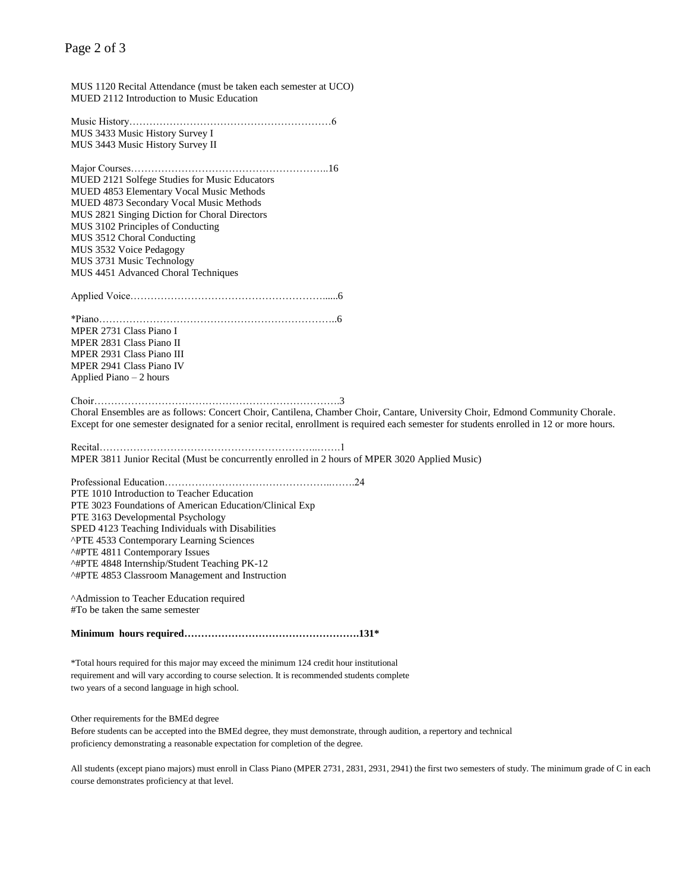## Page 2 of 3

MUS 1120 Recital Attendance (must be taken each semester at UCO) MUED 2112 Introduction to Music Education Music History……………………………………………………6 MUS 3433 Music History Survey I MUS 3443 Music History Survey II Major Courses…………………………………………………..16 MUED 2121 Solfege Studies for Music Educators MUED 4853 Elementary Vocal Music Methods MUED 4873 Secondary Vocal Music Methods MUS 2821 Singing Diction for Choral Directors MUS 3102 Principles of Conducting MUS 3512 Choral Conducting MUS 3532 Voice Pedagogy MUS 3731 Music Technology MUS 4451 Advanced Choral Techniques Applied Voice…………………………………………………......6 \*Piano……………………………………………………………..6 MPER 2731 Class Piano I MPER 2831 Class Piano II MPER 2931 Class Piano III MPER 2941 Class Piano IV Applied Piano – 2 hours Choir……………………………………………………………….3 Choral Ensembles are as follows: Concert Choir, Cantilena, Chamber Choir, Cantare, University Choir, Edmond Community Chorale. Except for one semester designated for a senior recital, enrollment is required each semester for students enrolled in 12 or more hours. Recital………………………………………………………..…….1 MPER 3811 Junior Recital (Must be concurrently enrolled in 2 hours of MPER 3020 Applied Music) Professional Education…………………………………………..…….24 PTE 1010 Introduction to Teacher Education PTE 3023 Foundations of American Education/Clinical Exp PTE 3163 Developmental Psychology SPED 4123 Teaching Individuals with Disabilities ^PTE 4533 Contemporary Learning Sciences ^#PTE 4811 Contemporary Issues ^#PTE 4848 Internship/Student Teaching PK-12 ^#PTE 4853 Classroom Management and Instruction ^Admission to Teacher Education required #To be taken the same semester **Minimum hours required…………………………………………….131\*** \*Total hours required for this major may exceed the minimum 124 credit hour institutional requirement and will vary according to course selection. It is recommended students complete two years of a second language in high school.

Other requirements for the BMEd degree

Before students can be accepted into the BMEd degree, they must demonstrate, through audition, a repertory and technical proficiency demonstrating a reasonable expectation for completion of the degree.

All students (except piano majors) must enroll in Class Piano (MPER 2731, 2831, 2931, 2941) the first two semesters of study. The minimum grade of C in each course demonstrates proficiency at that level.